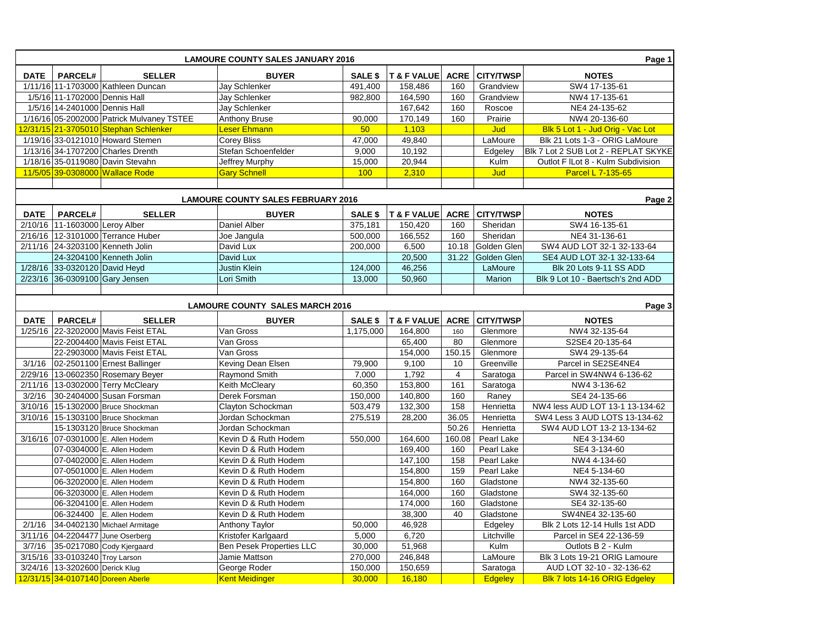| <b>PARCEL#</b><br>SALE \$<br><b>ACRE</b><br><b>CITY/TWSP</b><br><b>DATE</b><br><b>SELLER</b><br><b>BUYER</b><br><b>T &amp; F VALUE</b><br><b>NOTES</b><br>1/11/16 11-1703000 Kathleen Duncan<br>Jay Schlenker<br>491,400<br>SW4 17-135-61<br>158,486<br>160<br>Grandview<br>1/5/16 11-1702000 Dennis Hall<br>Jay Schlenker<br>164,590<br>Grandview<br>982,800<br>160<br>NW4 17-135-61<br>1/5/16 14-2401000 Dennis Hall<br>167,642<br>Jay Schlenker<br>160<br>Roscoe<br>NE4 24-135-62<br>1/16/16 05-2002000 Patrick Mulvaney TSTEE<br><b>Anthony Bruse</b><br>170,149<br>Prairie<br>90,000<br>160<br>NW4 20-136-60<br><u>12/31/15 21-3705010 Stephan Schlenker</u><br>Leser Ehmann<br>50<br>1,103<br>Jud<br>Blk 5 Lot 1 - Jud Orig - Vac Lot<br>1/19/16 33-0121010 Howard Stemen<br><b>Corey Bliss</b><br>49,840<br>47,000<br>LaMoure<br>Blk 21 Lots 1-3 - ORIG LaMoure<br>Stefan Schoenfelder<br>1/13/16 34-1707200 Charles Drenth<br>9,000<br>10,192<br>Blk 7 Lot 2 SUB Lot 2 - REPLAT SKYKE<br>Edgeley<br>1/18/16 35-0119080 Davin Stevahn<br>20,944<br>Jeffrey Murphy<br>15,000<br>Kulm<br>Outlot F ILot 8 - Kulm Subdivision |        |
|----------------------------------------------------------------------------------------------------------------------------------------------------------------------------------------------------------------------------------------------------------------------------------------------------------------------------------------------------------------------------------------------------------------------------------------------------------------------------------------------------------------------------------------------------------------------------------------------------------------------------------------------------------------------------------------------------------------------------------------------------------------------------------------------------------------------------------------------------------------------------------------------------------------------------------------------------------------------------------------------------------------------------------------------------------------------------------------------------------------------------------|--------|
|                                                                                                                                                                                                                                                                                                                                                                                                                                                                                                                                                                                                                                                                                                                                                                                                                                                                                                                                                                                                                                                                                                                                  |        |
|                                                                                                                                                                                                                                                                                                                                                                                                                                                                                                                                                                                                                                                                                                                                                                                                                                                                                                                                                                                                                                                                                                                                  |        |
|                                                                                                                                                                                                                                                                                                                                                                                                                                                                                                                                                                                                                                                                                                                                                                                                                                                                                                                                                                                                                                                                                                                                  |        |
|                                                                                                                                                                                                                                                                                                                                                                                                                                                                                                                                                                                                                                                                                                                                                                                                                                                                                                                                                                                                                                                                                                                                  |        |
|                                                                                                                                                                                                                                                                                                                                                                                                                                                                                                                                                                                                                                                                                                                                                                                                                                                                                                                                                                                                                                                                                                                                  |        |
|                                                                                                                                                                                                                                                                                                                                                                                                                                                                                                                                                                                                                                                                                                                                                                                                                                                                                                                                                                                                                                                                                                                                  |        |
|                                                                                                                                                                                                                                                                                                                                                                                                                                                                                                                                                                                                                                                                                                                                                                                                                                                                                                                                                                                                                                                                                                                                  |        |
|                                                                                                                                                                                                                                                                                                                                                                                                                                                                                                                                                                                                                                                                                                                                                                                                                                                                                                                                                                                                                                                                                                                                  |        |
|                                                                                                                                                                                                                                                                                                                                                                                                                                                                                                                                                                                                                                                                                                                                                                                                                                                                                                                                                                                                                                                                                                                                  |        |
| 11/5/05 39-0308000 Wallace Rode<br>2,310<br><b>Gary Schnell</b><br>100<br>Parcel L 7-135-65<br>Jud                                                                                                                                                                                                                                                                                                                                                                                                                                                                                                                                                                                                                                                                                                                                                                                                                                                                                                                                                                                                                               |        |
|                                                                                                                                                                                                                                                                                                                                                                                                                                                                                                                                                                                                                                                                                                                                                                                                                                                                                                                                                                                                                                                                                                                                  |        |
| <b>LAMOURE COUNTY SALES FEBRUARY 2016</b>                                                                                                                                                                                                                                                                                                                                                                                                                                                                                                                                                                                                                                                                                                                                                                                                                                                                                                                                                                                                                                                                                        | Page 2 |
| <b>PARCEL#</b><br><b>DATE</b><br><b>SELLER</b><br><b>BUYER</b><br>SALE \$<br><b>T &amp; F VALUE</b><br><b>ACRE CITY/TWSP</b><br><b>NOTES</b>                                                                                                                                                                                                                                                                                                                                                                                                                                                                                                                                                                                                                                                                                                                                                                                                                                                                                                                                                                                     |        |
| 2/10/16 11-1603000 Leroy Alber<br>Daniel Alber<br>375,181<br>150,420<br>160<br>Sheridan<br>SW4 16-135-61                                                                                                                                                                                                                                                                                                                                                                                                                                                                                                                                                                                                                                                                                                                                                                                                                                                                                                                                                                                                                         |        |
| 160<br>2/16/16 12-3101000 Terrance Huber<br>500,000<br>166,552<br>Sheridan<br>NE4 31-136-61<br>Joe Jangula                                                                                                                                                                                                                                                                                                                                                                                                                                                                                                                                                                                                                                                                                                                                                                                                                                                                                                                                                                                                                       |        |
| 2/11/16 24-3203100 Kenneth Jolin<br>David Lux<br>6,500<br>10.18<br>Golden Glen<br>SW4 AUD LOT 32-1 32-133-64<br>200.000                                                                                                                                                                                                                                                                                                                                                                                                                                                                                                                                                                                                                                                                                                                                                                                                                                                                                                                                                                                                          |        |
| 24-3204100 Kenneth Jolin<br>20,500<br>David Lux<br>31.22<br>Golden Glen<br>SE4 AUD LOT 32-1 32-133-64                                                                                                                                                                                                                                                                                                                                                                                                                                                                                                                                                                                                                                                                                                                                                                                                                                                                                                                                                                                                                            |        |
| 1/28/16 33-0320120 David Heyd<br>124,000<br>46,256<br>Blk 20 Lots 9-11 SS ADD<br><b>Justin Klein</b><br>LaMoure                                                                                                                                                                                                                                                                                                                                                                                                                                                                                                                                                                                                                                                                                                                                                                                                                                                                                                                                                                                                                  |        |
| 2/23/16 36-0309100 Gary Jensen<br>13,000<br>50,960<br>Blk 9 Lot 10 - Baertsch's 2nd ADD<br>Lori Smith<br><b>Marion</b>                                                                                                                                                                                                                                                                                                                                                                                                                                                                                                                                                                                                                                                                                                                                                                                                                                                                                                                                                                                                           |        |
|                                                                                                                                                                                                                                                                                                                                                                                                                                                                                                                                                                                                                                                                                                                                                                                                                                                                                                                                                                                                                                                                                                                                  |        |
| <b>LAMOURE COUNTY SALES MARCH 2016</b>                                                                                                                                                                                                                                                                                                                                                                                                                                                                                                                                                                                                                                                                                                                                                                                                                                                                                                                                                                                                                                                                                           | Page 3 |
| <b>CITY/TWSP</b><br><b>SELLER</b>                                                                                                                                                                                                                                                                                                                                                                                                                                                                                                                                                                                                                                                                                                                                                                                                                                                                                                                                                                                                                                                                                                |        |
| PARCEL#<br><b>BUYER</b><br>SALE \$<br><b>T &amp; F VALUE</b><br><b>ACRE</b><br><b>NOTES</b><br><b>DATE</b><br>1/25/16 22-3202000 Mavis Feist ETAL<br>Van Gross<br>NW4 32-135-64<br>1,175,000<br>164,800<br>Glenmore<br>160                                                                                                                                                                                                                                                                                                                                                                                                                                                                                                                                                                                                                                                                                                                                                                                                                                                                                                       |        |
| 22-2004400 Mavis Feist ETAL<br>65,400<br>Van Gross<br>80<br>Glenmore<br>S2SE4 20-135-64                                                                                                                                                                                                                                                                                                                                                                                                                                                                                                                                                                                                                                                                                                                                                                                                                                                                                                                                                                                                                                          |        |
| 22-2903000 Mavis Feist ETAL<br>Van Gross<br>150.15<br>Glenmore                                                                                                                                                                                                                                                                                                                                                                                                                                                                                                                                                                                                                                                                                                                                                                                                                                                                                                                                                                                                                                                                   |        |
| 154,000<br>SW4 29-135-64<br>3/1/16 02-2501100 Ernest Ballinger<br>Keving Dean Elsen<br>79,900<br>9,100<br>10<br>Greenville<br>Parcel in SE2SE4NE4                                                                                                                                                                                                                                                                                                                                                                                                                                                                                                                                                                                                                                                                                                                                                                                                                                                                                                                                                                                |        |
| 2/29/16 13-0602350 Rosemary Beyer<br>Raymond Smith<br>1,792<br>$\overline{4}$<br>Parcel in SW4NW4 6-136-62<br>7,000                                                                                                                                                                                                                                                                                                                                                                                                                                                                                                                                                                                                                                                                                                                                                                                                                                                                                                                                                                                                              |        |
| Saratoga<br>2/11/16 13-0302000 Terry McCleary<br>Keith McCleary<br>60,350<br>153,800<br>161<br>Saratoga<br>NW4 3-136-62                                                                                                                                                                                                                                                                                                                                                                                                                                                                                                                                                                                                                                                                                                                                                                                                                                                                                                                                                                                                          |        |
| 3/2/16<br>30-2404000 Susan Forsman<br>Derek Forsman<br>140,800<br>SE4 24-135-66<br>150,000<br>160<br>Raney                                                                                                                                                                                                                                                                                                                                                                                                                                                                                                                                                                                                                                                                                                                                                                                                                                                                                                                                                                                                                       |        |
| 3/10/16 15-1302000 Bruce Shockman                                                                                                                                                                                                                                                                                                                                                                                                                                                                                                                                                                                                                                                                                                                                                                                                                                                                                                                                                                                                                                                                                                |        |
| 503,479<br>132,300<br>158<br>NW4 less AUD LOT 13-1 13-134-62<br>Clayton Schockman<br>Henrietta<br>3/10/16 15-1303100 Bruce Shockman<br>Jordan Schockman<br>275,519<br>28,200<br>36.05<br>SW4 Less 3 AUD LOTS 13-134-62<br>Henrietta                                                                                                                                                                                                                                                                                                                                                                                                                                                                                                                                                                                                                                                                                                                                                                                                                                                                                              |        |
| 50.26<br>15-1303120 Bruce Shockman<br>Jordan Schockman<br>Henrietta<br>SW4 AUD LOT 13-2 13-134-62                                                                                                                                                                                                                                                                                                                                                                                                                                                                                                                                                                                                                                                                                                                                                                                                                                                                                                                                                                                                                                |        |
| 3/16/16 07-0301000 E. Allen Hodem<br>550,000<br>164,600<br>160.08<br>NE4 3-134-60<br>Kevin D & Ruth Hodem<br>Pearl Lake                                                                                                                                                                                                                                                                                                                                                                                                                                                                                                                                                                                                                                                                                                                                                                                                                                                                                                                                                                                                          |        |
| 160<br>Pearl Lake                                                                                                                                                                                                                                                                                                                                                                                                                                                                                                                                                                                                                                                                                                                                                                                                                                                                                                                                                                                                                                                                                                                |        |
| 07-0304000 E. Allen Hodem<br>169,400<br>Kevin D & Ruth Hodem<br>SE4 3-134-60<br>07-0402000 E. Allen Hodem<br>147,100<br>Kevin D & Ruth Hodem<br>158<br>Pearl Lake<br>NW4 4-134-60                                                                                                                                                                                                                                                                                                                                                                                                                                                                                                                                                                                                                                                                                                                                                                                                                                                                                                                                                |        |
|                                                                                                                                                                                                                                                                                                                                                                                                                                                                                                                                                                                                                                                                                                                                                                                                                                                                                                                                                                                                                                                                                                                                  |        |
| 07-0501000 E. Allen Hodem<br>154,800<br>159<br>Pearl Lake<br>Kevin D & Ruth Hodem<br>NE4 5-134-60<br>06-3202000 E. Allen Hodem<br>Kevin D & Ruth Hodem<br>154,800<br>160<br>Gladstone                                                                                                                                                                                                                                                                                                                                                                                                                                                                                                                                                                                                                                                                                                                                                                                                                                                                                                                                            |        |
| NW4 32-135-60<br>160                                                                                                                                                                                                                                                                                                                                                                                                                                                                                                                                                                                                                                                                                                                                                                                                                                                                                                                                                                                                                                                                                                             |        |
| 06-3203000 E. Allen Hodem<br>Kevin D & Ruth Hodem<br>164,000<br>Gladstone<br>SW4 32-135-60                                                                                                                                                                                                                                                                                                                                                                                                                                                                                                                                                                                                                                                                                                                                                                                                                                                                                                                                                                                                                                       |        |
| 06-3204100 E. Allen Hodem<br>174,000<br>Gladstone<br>Kevin D & Ruth Hodem<br>160<br>SE4 32-135-60                                                                                                                                                                                                                                                                                                                                                                                                                                                                                                                                                                                                                                                                                                                                                                                                                                                                                                                                                                                                                                |        |
| 38,300<br>06-324400 E. Allen Hodem<br>Kevin D & Ruth Hodem<br>40<br>Gladstone<br>SW4NE4 32-135-60<br>46,928                                                                                                                                                                                                                                                                                                                                                                                                                                                                                                                                                                                                                                                                                                                                                                                                                                                                                                                                                                                                                      |        |
| 2/1/16<br>34-0402130 Michael Armitage<br>Anthony Taylor<br>50,000<br>Edgeley<br>Blk 2 Lots 12-14 Hulls 1st ADD<br>6,720                                                                                                                                                                                                                                                                                                                                                                                                                                                                                                                                                                                                                                                                                                                                                                                                                                                                                                                                                                                                          |        |
| 3/11/16 04-2204477 June Oserberg<br>Kristofer Karlgaard<br>5,000<br>Litchville<br>Parcel in SE4 22-136-59<br>35-0217080 Cody Kjergaard<br><b>Ben Pesek Properties LLC</b><br>51,968<br>Kulm<br>3/7/16<br>Outlots B 2 - Kulm                                                                                                                                                                                                                                                                                                                                                                                                                                                                                                                                                                                                                                                                                                                                                                                                                                                                                                      |        |
| 30,000<br>3/15/16 33-0103240 Troy Larson                                                                                                                                                                                                                                                                                                                                                                                                                                                                                                                                                                                                                                                                                                                                                                                                                                                                                                                                                                                                                                                                                         |        |
| 270,000<br>246,848<br>Blk 3 Lots 19-21 ORIG Lamoure<br>Jamie Mattson<br>LaMoure<br>3/24/16 13-3202600 Derick Klug<br>George Roder<br>150,000<br>150,659<br>AUD LOT 32-10 - 32-136-62<br>Saratoga                                                                                                                                                                                                                                                                                                                                                                                                                                                                                                                                                                                                                                                                                                                                                                                                                                                                                                                                 |        |
| 12/31/15 34-0107140 Doreen Aberle<br><b>Kent Meidinger</b><br>30,000<br>16,180<br><b>Edgeley</b><br>Blk 7 lots 14-16 ORIG Edgeley                                                                                                                                                                                                                                                                                                                                                                                                                                                                                                                                                                                                                                                                                                                                                                                                                                                                                                                                                                                                |        |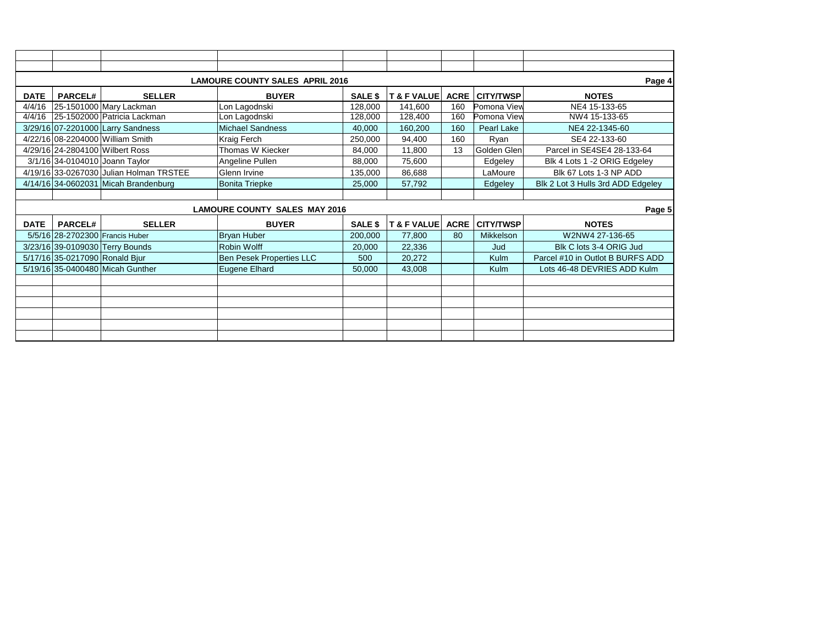| <b>LAMOURE COUNTY SALES APRIL 2016</b><br>Page 4 |                                |                                         |                                 |                |                        |             |                   |                                   |  |
|--------------------------------------------------|--------------------------------|-----------------------------------------|---------------------------------|----------------|------------------------|-------------|-------------------|-----------------------------------|--|
| <b>DATE</b>                                      | <b>PARCEL#</b>                 | <b>SELLER</b>                           | <b>BUYER</b>                    | <b>SALE \$</b> | T & F VALUE            | <b>ACRE</b> | <b>CITY/TWSP</b>  | <b>NOTES</b>                      |  |
| 4/4/16                                           |                                | 25-1501000 Mary Lackman                 | Lon Lagodnski                   | 128,000        | 141.600                | 160         | Pomona View       | NE4 15-133-65                     |  |
| 4/4/16                                           |                                | 25-1502000 Patricia Lackman             | Lon Lagodnski                   | 128,000        | 128,400                | 160         | Pomona View       | NW4 15-133-65                     |  |
|                                                  |                                | 3/29/16 07-2201000 Larry Sandness       | <b>Michael Sandness</b>         | 40.000         | 160,200                | 160         | <b>Pearl Lake</b> | NE4 22-1345-60                    |  |
|                                                  |                                | 4/22/16 08-2204000 William Smith        | Kraig Ferch                     | 250,000        | 94,400                 | 160         | Ryan              | SE4 22-133-60                     |  |
|                                                  |                                | 4/29/16 24-2804100 Wilbert Ross         | Thomas W Kiecker                | 84,000         | 11,800                 | 13          | Golden Glen       | Parcel in SE4SE4 28-133-64        |  |
|                                                  |                                | 3/1/16 34-0104010 Joann Taylor          | Angeline Pullen                 | 88,000         | 75,600                 |             | Edgeley           | Blk 4 Lots 1 -2 ORIG Edgeley      |  |
|                                                  |                                | 4/19/16 33-0267030 Julian Holman TRSTEE | Glenn Irvine                    | 135,000        | 86,688                 |             | LaMoure           | Blk 67 Lots 1-3 NP ADD            |  |
|                                                  |                                | 4/14/16 34-0602031 Micah Brandenburg    | <b>Bonita Triepke</b>           | 25,000         | 57,792                 |             | Edgeley           | Blk 2 Lot 3 Hulls 3rd ADD Edgeley |  |
|                                                  |                                |                                         |                                 |                |                        |             |                   |                                   |  |
| <b>LAMOURE COUNTY SALES MAY 2016</b><br>Page 5   |                                |                                         |                                 |                |                        |             |                   |                                   |  |
| <b>DATE</b>                                      | <b>PARCEL#</b>                 | <b>SELLER</b>                           | <b>BUYER</b>                    | <b>SALE \$</b> | <b>T &amp; F VALUE</b> | <b>ACRE</b> | <b>CITY/TWSP</b>  | <b>NOTES</b>                      |  |
|                                                  |                                | 5/5/16 28-2702300 Francis Huber         | <b>Bryan Huber</b>              | 200,000        | 77,800                 | 80          | <b>Mikkelson</b>  | W2NW4 27-136-65                   |  |
|                                                  |                                | 3/23/16 39-0109030 Terry Bounds         | <b>Robin Wolff</b>              | 20,000         | 22,336                 |             | Jud               | Blk C lots 3-4 ORIG Jud           |  |
|                                                  | 5/17/16 35-0217090 Ronald Bjur |                                         | <b>Ben Pesek Properties LLC</b> | 500            | 20,272                 |             | Kulm              | Parcel #10 in Outlot B BURFS ADD  |  |
|                                                  |                                | 5/19/16 35-0400480 Micah Gunther        | Eugene Elhard                   | 50,000         | 43,008                 |             | Kulm              | Lots 46-48 DEVRIES ADD Kulm       |  |
|                                                  |                                |                                         |                                 |                |                        |             |                   |                                   |  |
|                                                  |                                |                                         |                                 |                |                        |             |                   |                                   |  |
|                                                  |                                |                                         |                                 |                |                        |             |                   |                                   |  |
|                                                  |                                |                                         |                                 |                |                        |             |                   |                                   |  |
|                                                  |                                |                                         |                                 |                |                        |             |                   |                                   |  |
|                                                  |                                |                                         |                                 |                |                        |             |                   |                                   |  |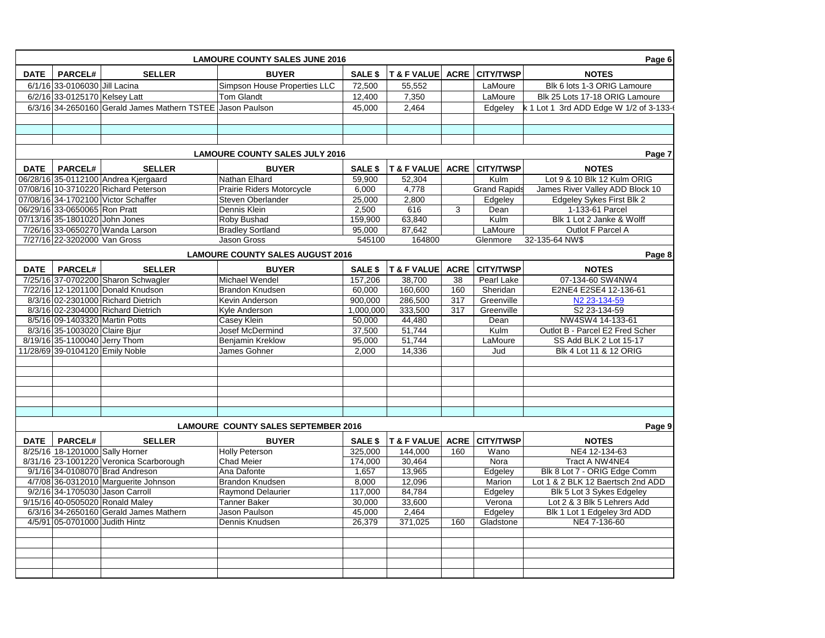| <b>LAMOURE COUNTY SALES JUNE 2016</b><br>Page 6 |                                 |                                                            |                                            |           |                            |             |                     |                                         |
|-------------------------------------------------|---------------------------------|------------------------------------------------------------|--------------------------------------------|-----------|----------------------------|-------------|---------------------|-----------------------------------------|
| <b>DATE</b>                                     | <b>PARCEL#</b>                  | <b>SELLER</b>                                              | <b>BUYER</b>                               | SALE \$   | T & F VALUE ACRE           |             | <b>CITY/TWSP</b>    | <b>NOTES</b>                            |
|                                                 | 6/1/16 33-0106030 Jill Lacina   |                                                            | Simpson House Properties LLC               | 72,500    | 55,552                     |             | LaMoure             | Blk 6 lots 1-3 ORIG Lamoure             |
|                                                 | 6/2/16 33-0125170 Kelsey Latt   |                                                            | <b>Tom Glandt</b>                          | 12,400    | 7,350                      |             | LaMoure             | Blk 25 Lots 17-18 ORIG Lamoure          |
|                                                 |                                 | 6/3/16 34-2650160 Gerald James Mathern TSTEE Jason Paulson |                                            | 45,000    | 2,464                      |             | Edgeley             | k 1 Lot 1 3rd ADD Edge W 1/2 of 3-133-6 |
|                                                 |                                 |                                                            |                                            |           |                            |             |                     |                                         |
|                                                 |                                 |                                                            |                                            |           |                            |             |                     |                                         |
|                                                 |                                 |                                                            |                                            |           |                            |             |                     |                                         |
| <b>LAMOURE COUNTY SALES JULY 2016</b>           |                                 |                                                            |                                            |           |                            |             |                     | Page 7                                  |
| <b>DATE</b>                                     | <b>PARCEL#</b>                  | <b>SELLER</b>                                              | <b>BUYER</b>                               | SALE \$   | T & F VALUE ACRE CITY/TWSP |             |                     | <b>NOTES</b>                            |
|                                                 |                                 | 06/28/16 35-0112100 Andrea Kjergaard                       | Nathan Elhard                              | 59,900    | 52,304                     |             | Kulm                | Lot 9 & 10 Blk 12 Kulm ORIG             |
|                                                 |                                 | 07/08/16 10-3710220 Richard Peterson                       | Prairie Riders Motorcycle                  | 6,000     | 4,778                      |             | <b>Grand Rapids</b> | James River Valley ADD Block 10         |
|                                                 |                                 | 07/08/16 34-1702100 Victor Schaffer                        | <b>Steven Oberlander</b>                   | 25,000    | 2,800                      |             | Edgeley             | Edgeley Sykes First Blk 2               |
|                                                 | 06/29/16 33-0650065 Ron Pratt   |                                                            | Dennis Klein                               | 2,500     | 616                        | 3           | Dean                | 1-133-61 Parcel                         |
|                                                 | 07/13/16 35-1801020 John Jones  |                                                            | Roby Bushad                                | 159,900   | 63,840                     |             | Kulm                | Blk 1 Lot 2 Janke & Wolff               |
|                                                 |                                 | 7/26/16 33-0650270 Wanda Larson                            | <b>Bradley Sortland</b>                    | 95.000    | 87.642                     |             | LaMoure             | <b>Outlot F Parcel A</b>                |
|                                                 | 7/27/16 22-3202000 Van Gross    |                                                            | Jason Gross                                | 545100    | 164800                     |             | Glenmore            | 32-135-64 NW\$                          |
|                                                 |                                 |                                                            | <b>LAMOURE COUNTY SALES AUGUST 2016</b>    |           |                            |             |                     | Page 8                                  |
| <b>DATE</b>                                     | <b>PARCEL#</b>                  | <b>SELLER</b>                                              | <b>BUYER</b>                               | SALE \$   | T & F VALUE                | <b>ACRE</b> | <b>CITY/TWSP</b>    | <b>NOTES</b>                            |
|                                                 |                                 | 7/25/16 37-0702200 Sharon Schwagler                        | Michael Wendel                             | 157,206   | 38.700                     | 38          | Pearl Lake          | 07-134-60 SW4NW4                        |
|                                                 |                                 | 7/22/16 12-1201100 Donald Knudson                          | <b>Brandon Knudsen</b>                     | 60,000    | 160,600                    | 160         | Sheridan            | E2NE4 E2SE4 12-136-61                   |
|                                                 |                                 | 8/3/16 02-2301000 Richard Dietrich                         | Kevin Anderson                             | 900,000   | 286,500                    | 317         | Greenville          | N2 23-134-59                            |
|                                                 |                                 | 8/3/16 02-2304000 Richard Dietrich                         | Kyle Anderson                              | 1,000,000 | 333,500                    | 317         | Greenville          | S2 23-134-59                            |
|                                                 | 8/5/16 09-1403320 Martin Potts  |                                                            | Casey Klein                                | 50,000    | 44,480                     |             | Dean                | NW4SW4 14-133-61                        |
|                                                 | 8/3/16 35-1003020 Claire Bjur   |                                                            | Josef McDermind                            | 37,500    | 51,744                     |             | Kulm                | Outlot B - Parcel E2 Fred Scher         |
|                                                 | 8/19/16 35-1100040 Jerry Thom   |                                                            | <b>Benjamin Kreklow</b>                    | 95,000    | 51,744                     |             | LaMoure             | SS Add BLK 2 Lot 15-17                  |
|                                                 | 11/28/69 39-0104120 Emily Noble |                                                            | James Gohner                               | 2,000     | 14,336                     |             | Jud                 | Blk 4 Lot 11 & 12 ORIG                  |
|                                                 |                                 |                                                            |                                            |           |                            |             |                     |                                         |
|                                                 |                                 |                                                            |                                            |           |                            |             |                     |                                         |
|                                                 |                                 |                                                            |                                            |           |                            |             |                     |                                         |
|                                                 |                                 |                                                            |                                            |           |                            |             |                     |                                         |
|                                                 |                                 |                                                            |                                            |           |                            |             |                     |                                         |
|                                                 |                                 |                                                            |                                            |           |                            |             |                     |                                         |
|                                                 |                                 |                                                            | <b>LAMOURE COUNTY SALES SEPTEMBER 2016</b> |           |                            |             |                     | Page 9                                  |
| <b>DATE</b>                                     | <b>PARCEL#</b>                  | <b>SELLER</b>                                              | <b>BUYER</b>                               | SALE \$   | T&F VALUE ACRE             |             | <b>CITY/TWSP</b>    | <b>NOTES</b>                            |
|                                                 |                                 | 8/25/16 18-1201000 Sally Horner                            | <b>Holly Peterson</b>                      | 325,000   | 144,000                    | 160         | Wano                | NE4 12-134-63                           |
|                                                 |                                 | 8/31/16 23-1001220 Veronica Scarborough                    | <b>Chad Meier</b>                          | 174,000   | 30,464                     |             | Nora                | Tract A NW4NE4                          |
|                                                 |                                 | 9/1/16 34-0108070 Brad Andreson                            | Ana Dafonte                                | 1,657     | 13,965                     |             | Edgeley             | Blk 8 Lot 7 - ORIG Edge Comm            |
|                                                 |                                 | 4/7/08 36-0312010 Marguerite Johnson                       | <b>Brandon Knudsen</b>                     | 8,000     | 12,096                     |             | Marion              | Lot 1 & 2 BLK 12 Baertsch 2nd ADD       |
|                                                 |                                 | 9/2/16 34-1705030 Jason Carroll                            | <b>Raymond Delaurier</b>                   | 117.000   | 84.784                     |             | Edgeley             | Blk 5 Lot 3 Sykes Edgeley               |
|                                                 |                                 | 9/15/16 40-0505020 Ronald Maley                            | <b>Tanner Baker</b>                        | 30,000    | 33,600                     |             | Verona              | Lot 2 & 3 Blk 5 Lehrers Add             |
|                                                 |                                 | 6/3/16 34-2650160 Gerald James Mathern                     | Jason Paulson                              | 45,000    | 2,464                      |             | Edgeley             | Blk 1 Lot 1 Edgeley 3rd ADD             |
|                                                 | 4/5/91 05-0701000 Judith Hintz  |                                                            | Dennis Knudsen                             | 26,379    | 371,025                    | 160         | Gladstone           | NE4 7-136-60                            |
|                                                 |                                 |                                                            |                                            |           |                            |             |                     |                                         |
|                                                 |                                 |                                                            |                                            |           |                            |             |                     |                                         |
|                                                 |                                 |                                                            |                                            |           |                            |             |                     |                                         |
|                                                 |                                 |                                                            |                                            |           |                            |             |                     |                                         |
|                                                 |                                 |                                                            |                                            |           |                            |             |                     |                                         |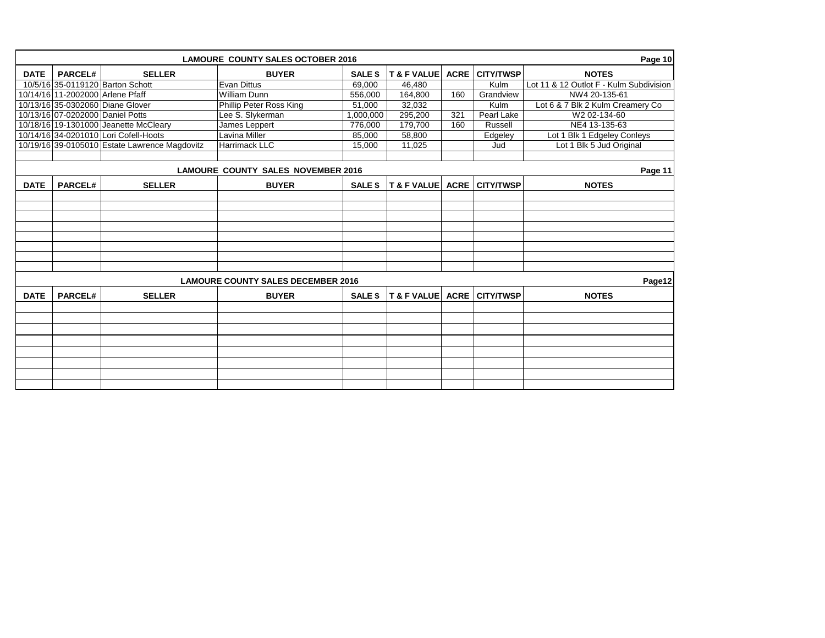|             | <b>LAMOURE COUNTY SALES OCTOBER 2016</b><br>Page 10  |                                               |                                           |                |                        |             |                  |                                         |  |
|-------------|------------------------------------------------------|-----------------------------------------------|-------------------------------------------|----------------|------------------------|-------------|------------------|-----------------------------------------|--|
| <b>DATE</b> | <b>PARCEL#</b>                                       | <b>SELLER</b>                                 | <b>BUYER</b>                              | SALE \$        | <b>T &amp; F VALUE</b> | ACRE        | <b>CITY/TWSP</b> | <b>NOTES</b>                            |  |
|             |                                                      | 10/5/16 35-0119120 Barton Schott              | <b>Evan Dittus</b>                        | 69,000         | 46,480                 |             | <b>Kulm</b>      | Lot 11 & 12 Outlot F - Kulm Subdivision |  |
|             |                                                      | 10/14/16 11-2002000 Arlene Pfaff              | <b>William Dunn</b>                       | 556,000        | 164,800                | 160         | Grandview        | NW4 20-135-61                           |  |
|             |                                                      | 10/13/16 35-0302060 Diane Glover              | <b>Phillip Peter Ross King</b>            | 51,000         | 32,032                 |             | Kulm             | Lot 6 & 7 Blk 2 Kulm Creamery Co        |  |
|             |                                                      | 10/13/16 07-0202000 Daniel Potts              | Lee S. Slykerman                          | 1,000,000      | 295,200                | 321         | Pearl Lake       | W2 02-134-60                            |  |
|             |                                                      | 10/18/16 19-1301000 Jeanette McCleary         | James Leppert                             | 776,000        | 179,700                | 160         | Russell          | NE4 13-135-63                           |  |
|             |                                                      | 10/14/16 34-0201010 Lori Cofell-Hoots         | Lavina Miller                             | 85,000         | 58,800                 |             | Edgeley          | Lot 1 Blk 1 Edgeley Conleys             |  |
|             |                                                      | 10/19/16 39-0105010 Estate Lawrence Magdovitz | Harrimack LLC                             | 15,000         | 11,025                 |             | Jud              | Lot 1 Blk 5 Jud Original                |  |
|             |                                                      |                                               |                                           |                |                        |             |                  |                                         |  |
|             | <b>LAMOURE COUNTY SALES NOVEMBER 2016</b><br>Page 11 |                                               |                                           |                |                        |             |                  |                                         |  |
| <b>DATE</b> | <b>PARCEL#</b>                                       | <b>SELLER</b>                                 | <b>BUYER</b>                              | SALE \$        | <b>T &amp; F VALUE</b> | <b>ACRE</b> | <b>CITY/TWSP</b> | <b>NOTES</b>                            |  |
|             |                                                      |                                               |                                           |                |                        |             |                  |                                         |  |
|             |                                                      |                                               |                                           |                |                        |             |                  |                                         |  |
|             |                                                      |                                               |                                           |                |                        |             |                  |                                         |  |
|             |                                                      |                                               |                                           |                |                        |             |                  |                                         |  |
|             |                                                      |                                               |                                           |                |                        |             |                  |                                         |  |
|             |                                                      |                                               |                                           |                |                        |             |                  |                                         |  |
|             |                                                      |                                               |                                           |                |                        |             |                  |                                         |  |
|             |                                                      |                                               |                                           |                |                        |             |                  |                                         |  |
|             |                                                      |                                               | <b>LAMOURE COUNTY SALES DECEMBER 2016</b> |                |                        |             |                  | Page12                                  |  |
| <b>DATE</b> | <b>PARCEL#</b>                                       | <b>SELLER</b>                                 | <b>BUYER</b>                              | <b>SALE \$</b> | T&FVALUE ACRE          |             | <b>CITY/TWSP</b> | <b>NOTES</b>                            |  |
|             |                                                      |                                               |                                           |                |                        |             |                  |                                         |  |
|             |                                                      |                                               |                                           |                |                        |             |                  |                                         |  |
|             |                                                      |                                               |                                           |                |                        |             |                  |                                         |  |
|             |                                                      |                                               |                                           |                |                        |             |                  |                                         |  |
|             |                                                      |                                               |                                           |                |                        |             |                  |                                         |  |
|             |                                                      |                                               |                                           |                |                        |             |                  |                                         |  |
|             |                                                      |                                               |                                           |                |                        |             |                  |                                         |  |
|             |                                                      |                                               |                                           |                |                        |             |                  |                                         |  |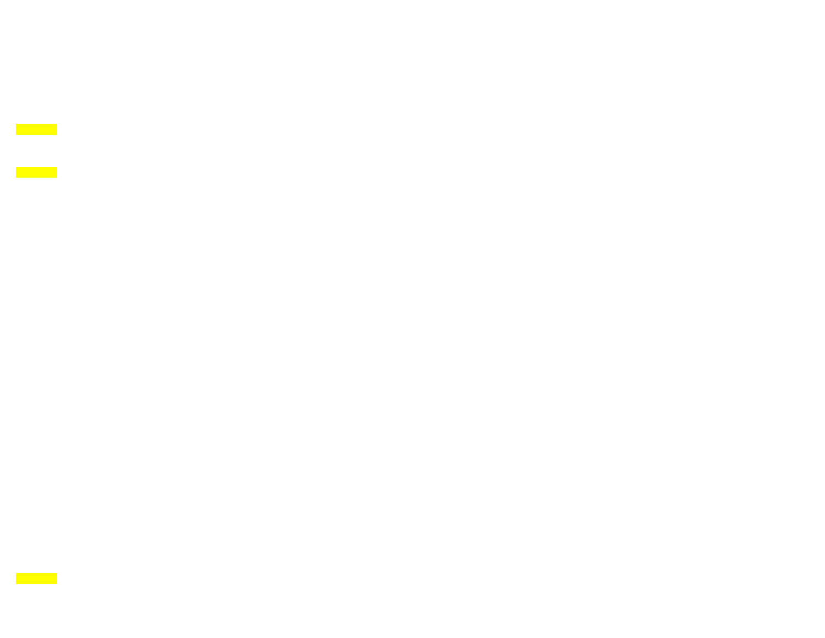$\mathcal{L}^{\text{max}}$  $\frac{1}{\sqrt{2}}$ 

 $\mathcal{L}^{\text{max}}$